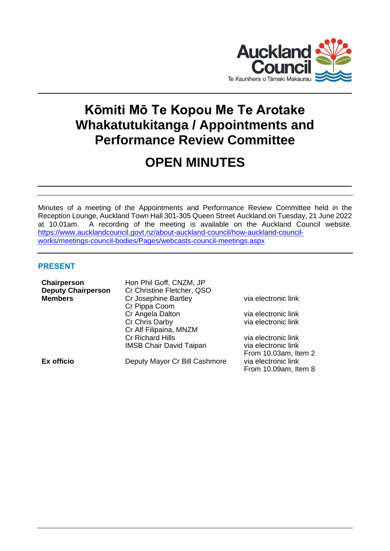

# **Kōmiti Mō Te Kopou Me Te Arotake Whakatutukitanga / Appointments and Performance Review Committee**

# **OPEN MINUTES**

Minutes of a meeting of the Appointments and Performance Review Committee held in the Reception Lounge, Auckland Town Hall 301-305 Queen Street Auckland on Tuesday, 21 June 2022 at 10.01am. A recording of the meeting is available on the Auckland Council website. [https://www.aucklandcouncil.govt.nz/about-auckland-council/how-auckland-council](https://www.aucklandcouncil.govt.nz/about-auckland-council/how-auckland-council-works/meetings-council-bodies/Pages/webcasts-council-meetings.aspx)[works/meetings-council-bodies/Pages/webcasts-council-meetings.aspx](https://www.aucklandcouncil.govt.nz/about-auckland-council/how-auckland-council-works/meetings-council-bodies/Pages/webcasts-council-meetings.aspx)

# **PRESENT**

| Chairperson               | Hon Phil Goff, CNZM, JP         |                      |
|---------------------------|---------------------------------|----------------------|
| <b>Deputy Chairperson</b> | Cr Christine Fletcher, QSO      |                      |
| <b>Members</b>            | Cr Josephine Bartley            | via electronic link  |
|                           | Cr Pippa Coom                   |                      |
|                           | Cr Angela Dalton                | via electronic link  |
|                           | Cr Chris Darby                  | via electronic link  |
|                           | Cr Alf Filipaina, MNZM          |                      |
|                           | <b>Cr Richard Hills</b>         | via electronic link  |
|                           | <b>IMSB Chair David Taipari</b> | via electronic link  |
|                           |                                 | From 10.03am, Item 2 |
| Ex officio                | Deputy Mayor Cr Bill Cashmore   | via electronic link  |
|                           |                                 | From 10.09am, Item 8 |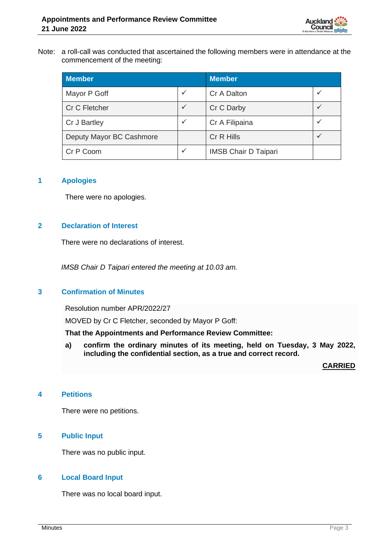

#### Note: a roll-call was conducted that ascertained the following members were in attendance at the commencement of the meeting:

| <b>Member</b>            |              | <b>Member</b>               |  |
|--------------------------|--------------|-----------------------------|--|
| Mayor P Goff             | $\checkmark$ | Cr A Dalton                 |  |
| Cr C Fletcher            | ✓            | Cr C Darby                  |  |
| Cr J Bartley             | ✓            | Cr A Filipaina              |  |
| Deputy Mayor BC Cashmore |              | Cr R Hills                  |  |
| Cr P Coom                | ✓            | <b>IMSB Chair D Taipari</b> |  |

# **1 Apologies**

There were no apologies.

# **2 Declaration of Interest**

There were no declarations of interest.

*IMSB Chair D Taipari entered the meeting at 10.03 am.*

#### **3 Confirmation of Minutes**

Resolution number APR/2022/27

MOVED by Cr C Fletcher, seconded by Mayor P Goff:

# **That the Appointments and Performance Review Committee:**

**a) confirm the ordinary minutes of its meeting, held on Tuesday, 3 May 2022, including the confidential section, as a true and correct record.**

**CARRIED**

#### **4 Petitions**

There were no petitions.

# **5 Public Input**

There was no public input.

# **6 Local Board Input**

There was no local board input.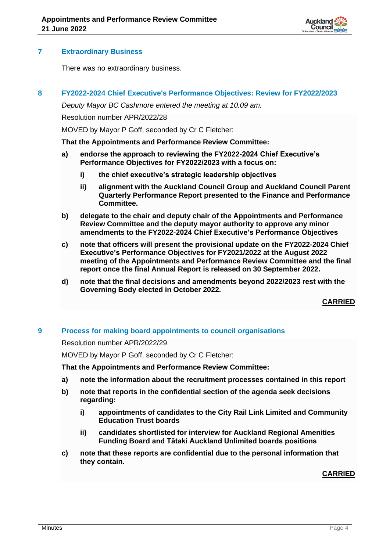

# **7 Extraordinary Business**

There was no extraordinary business.

#### **8 FY2022-2024 Chief Executive's Performance Objectives: Review for FY2022/2023**

*Deputy Mayor BC Cashmore entered the meeting at 10.09 am.*

Resolution number APR/2022/28

MOVED by Mayor P Goff, seconded by Cr C Fletcher:

#### **That the Appointments and Performance Review Committee:**

- **a) endorse the approach to reviewing the FY2022-2024 Chief Executive's Performance Objectives for FY2022/2023 with a focus on:**
	- **i) the chief executive's strategic leadership objectives**
	- **ii) alignment with the Auckland Council Group and Auckland Council Parent Quarterly Performance Report presented to the Finance and Performance Committee.**
- **b) delegate to the chair and deputy chair of the Appointments and Performance Review Committee and the deputy mayor authority to approve any minor amendments to the FY2022-2024 Chief Executive's Performance Objectives**
- **c) note that officers will present the provisional update on the FY2022-2024 Chief Executive's Performance Objectives for FY2021/2022 at the August 2022 meeting of the Appointments and Performance Review Committee and the final report once the final Annual Report is released on 30 September 2022.**
- **d) note that the final decisions and amendments beyond 2022/2023 rest with the Governing Body elected in October 2022.**

# **CARRIED**

# **9 Process for making board appointments to council organisations**

Resolution number APR/2022/29

MOVED by Mayor P Goff, seconded by Cr C Fletcher:

**That the Appointments and Performance Review Committee:**

- **a) note the information about the recruitment processes contained in this report**
- **b) note that reports in the confidential section of the agenda seek decisions regarding:** 
	- **i) appointments of candidates to the City Rail Link Limited and Community Education Trust boards**
	- **ii) candidates shortlisted for interview for Auckland Regional Amenities Funding Board and Tātaki Auckland Unlimited boards positions**
- **c) note that these reports are confidential due to the personal information that they contain.**

# **CARRIED**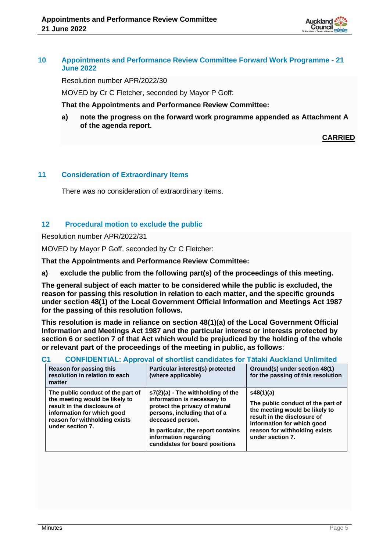

#### **10 Appointments and Performance Review Committee Forward Work Programme - 21 June 2022**

Resolution number APR/2022/30

MOVED by Cr C Fletcher, seconded by Mayor P Goff:

**That the Appointments and Performance Review Committee:**

**a) note the progress on the forward work programme appended as Attachment A of the agenda report.**

**CARRIED**

# **11 Consideration of Extraordinary Items**

There was no consideration of extraordinary items.

# **12 Procedural motion to exclude the public**

Resolution number APR/2022/31

MOVED by Mayor P Goff, seconded by Cr C Fletcher:

**That the Appointments and Performance Review Committee:**

**a) exclude the public from the following part(s) of the proceedings of this meeting.**

**The general subject of each matter to be considered while the public is excluded, the reason for passing this resolution in relation to each matter, and the specific grounds under section 48(1) of the Local Government Official Information and Meetings Act 1987 for the passing of this resolution follows.**

**This resolution is made in reliance on section 48(1)(a) of the Local Government Official Information and Meetings Act 1987 and the particular interest or interests protected by section 6 or section 7 of that Act which would be prejudiced by the holding of the whole or relevant part of the proceedings of the meeting in public, as follows**:

| U1                                                                                                                                                                                    | CONFIDENTIAL: Approval of Shortlist candidates for Tataki Auckland Unlimited                                                                                                                                                                            |                                                                                                                                                                                                    |
|---------------------------------------------------------------------------------------------------------------------------------------------------------------------------------------|---------------------------------------------------------------------------------------------------------------------------------------------------------------------------------------------------------------------------------------------------------|----------------------------------------------------------------------------------------------------------------------------------------------------------------------------------------------------|
| Reason for passing this<br>resolution in relation to each<br>matter                                                                                                                   | Particular interest(s) protected<br>(where applicable)                                                                                                                                                                                                  | Ground(s) under section 48(1)<br>for the passing of this resolution                                                                                                                                |
| The public conduct of the part of<br>the meeting would be likely to<br>result in the disclosure of<br>information for which good<br>reason for withholding exists<br>under section 7. | s7(2)(a) - The withholding of the<br>information is necessary to<br>protect the privacy of natural<br>persons, including that of a<br>deceased person.<br>In particular, the report contains<br>information regarding<br>candidates for board positions | s48(1)(a)<br>The public conduct of the part of<br>the meeting would be likely to<br>result in the disclosure of<br>information for which good<br>reason for withholding exists<br>under section 7. |

# **C1 CONFIDENTIAL: Approval of shortlist candidates for Tātaki Auckland Unlimited**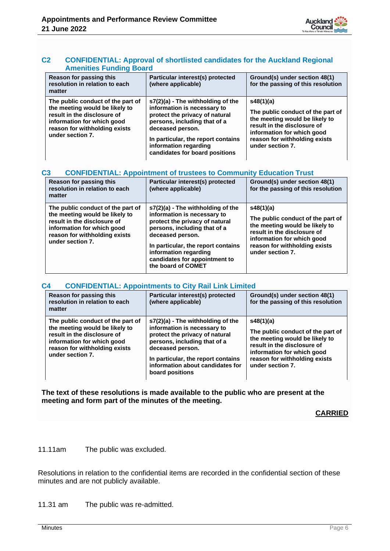#### **C2 CONFIDENTIAL: Approval of shortlisted candidates for the Auckland Regional Amenities Funding Board**

| Reason for passing this<br>resolution in relation to each<br>matter                                                                                                                   | Particular interest(s) protected<br>(where applicable)                                                                                                                                                                                                  | Ground(s) under section 48(1)<br>for the passing of this resolution                                                                                                                                |
|---------------------------------------------------------------------------------------------------------------------------------------------------------------------------------------|---------------------------------------------------------------------------------------------------------------------------------------------------------------------------------------------------------------------------------------------------------|----------------------------------------------------------------------------------------------------------------------------------------------------------------------------------------------------|
| The public conduct of the part of<br>the meeting would be likely to<br>result in the disclosure of<br>information for which good<br>reason for withholding exists<br>under section 7. | s7(2)(a) - The withholding of the<br>information is necessary to<br>protect the privacy of natural<br>persons, including that of a<br>deceased person.<br>In particular, the report contains<br>information regarding<br>candidates for board positions | s48(1)(a)<br>The public conduct of the part of<br>the meeting would be likely to<br>result in the disclosure of<br>information for which good<br>reason for withholding exists<br>under section 7. |

#### **C3 CONFIDENTIAL: Appointment of trustees to Community Education Trust**

| Reason for passing this<br>resolution in relation to each<br>matter                                                                                                                   | Particular interest(s) protected<br>(where applicable)                                                                                                                                                                                                                       | Ground(s) under section 48(1)<br>for the passing of this resolution                                                                                                                                |
|---------------------------------------------------------------------------------------------------------------------------------------------------------------------------------------|------------------------------------------------------------------------------------------------------------------------------------------------------------------------------------------------------------------------------------------------------------------------------|----------------------------------------------------------------------------------------------------------------------------------------------------------------------------------------------------|
| The public conduct of the part of<br>the meeting would be likely to<br>result in the disclosure of<br>information for which good<br>reason for withholding exists<br>under section 7. | s7(2)(a) - The withholding of the<br>information is necessary to<br>protect the privacy of natural<br>persons, including that of a<br>deceased person.<br>In particular, the report contains<br>information regarding<br>candidates for appointment to<br>the board of COMET | s48(1)(a)<br>The public conduct of the part of<br>the meeting would be likely to<br>result in the disclosure of<br>information for which good<br>reason for withholding exists<br>under section 7. |

#### **C4 CONFIDENTIAL: Appointments to City Rail Link Limited**

| Reason for passing this<br>resolution in relation to each<br>matter                                                                                                                   | Particular interest(s) protected<br>(where applicable)                                                                                                                                                                                                | Ground(s) under section 48(1)<br>for the passing of this resolution                                                                                                                                |
|---------------------------------------------------------------------------------------------------------------------------------------------------------------------------------------|-------------------------------------------------------------------------------------------------------------------------------------------------------------------------------------------------------------------------------------------------------|----------------------------------------------------------------------------------------------------------------------------------------------------------------------------------------------------|
| The public conduct of the part of<br>the meeting would be likely to<br>result in the disclosure of<br>information for which good<br>reason for withholding exists<br>under section 7. | $s7(2)(a)$ - The withholding of the<br>information is necessary to<br>protect the privacy of natural<br>persons, including that of a<br>deceased person.<br>In particular, the report contains<br>information about candidates for<br>board positions | s48(1)(a)<br>The public conduct of the part of<br>the meeting would be likely to<br>result in the disclosure of<br>information for which good<br>reason for withholding exists<br>under section 7. |

**The text of these resolutions is made available to the public who are present at the meeting and form part of the minutes of the meeting.**

**CARRIED**

11.11am The public was excluded.

Resolutions in relation to the confidential items are recorded in the confidential section of these minutes and are not publicly available.

11.31 am The public was re-admitted.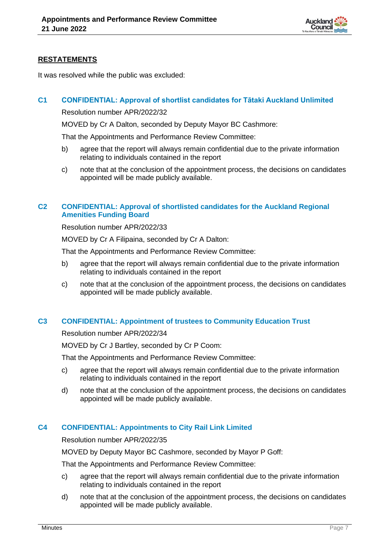

# **RESTATEMENTS**

It was resolved while the public was excluded:

# **C1 CONFIDENTIAL: Approval of shortlist candidates for Tātaki Auckland Unlimited**

Resolution number APR/2022/32

MOVED by Cr A Dalton, seconded by Deputy Mayor BC Cashmore:

That the Appointments and Performance Review Committee:

- b) agree that the report will always remain confidential due to the private information relating to individuals contained in the report
- c) note that at the conclusion of the appointment process, the decisions on candidates appointed will be made publicly available.

# **C2 CONFIDENTIAL: Approval of shortlisted candidates for the Auckland Regional Amenities Funding Board**

Resolution number APR/2022/33

MOVED by Cr A Filipaina, seconded by Cr A Dalton:

That the Appointments and Performance Review Committee:

- b) agree that the report will always remain confidential due to the private information relating to individuals contained in the report
- c) note that at the conclusion of the appointment process, the decisions on candidates appointed will be made publicly available.

# **C3 CONFIDENTIAL: Appointment of trustees to Community Education Trust**

Resolution number APR/2022/34

MOVED by Cr J Bartley, seconded by Cr P Coom:

That the Appointments and Performance Review Committee:

- c) agree that the report will always remain confidential due to the private information relating to individuals contained in the report
- d) note that at the conclusion of the appointment process, the decisions on candidates appointed will be made publicly available.

# **C4 CONFIDENTIAL: Appointments to City Rail Link Limited**

Resolution number APR/2022/35

MOVED by Deputy Mayor BC Cashmore, seconded by Mayor P Goff:

That the Appointments and Performance Review Committee:

- c) agree that the report will always remain confidential due to the private information relating to individuals contained in the report
- d) note that at the conclusion of the appointment process, the decisions on candidates appointed will be made publicly available.